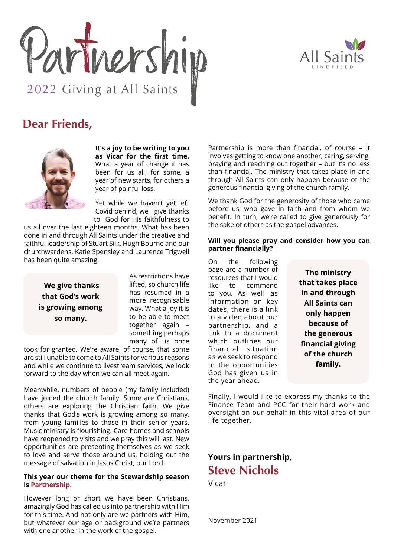



## **Dear Friends,**



**It's a joy to be writing to you as Vicar for the first time.** What a year of change it has been for us all; for some, a year of new starts, for others a year of painful loss.

Yet while we haven't yet left Covid behind, we give thanks to God for His faithfulness to

us all over the last eighteen months. What has been done in and through All Saints under the creative and faithful leadership of Stuart Silk, Hugh Bourne and our churchwardens, Katie Spensley and Laurence Trigwell has been quite amazing.

 **We give thanks that God's work is growing among so many.**

As restrictions have lifted, so church life has resumed in a more recognisable way. What a joy it is to be able to meet together again – something perhaps many of us once

took for granted. We're aware, of course, that some are still unable to come to All Saints for various reasons and while we continue to livestream services, we look forward to the day when we can all meet again.

Meanwhile, numbers of people (my family included) have joined the church family. Some are Christians, others are exploring the Christian faith. We give thanks that God's work is growing among so many, from young families to those in their senior years. Music ministry is flourishing. Care homes and schools have reopened to visits and we pray this will last. New opportunities are presenting themselves as we seek to love and serve those around us, holding out the message of salvation in Jesus Christ, our Lord.

## **This year our theme for the Stewardship season is Partnership.**

However long or short we have been Christians, amazingly God has called us into partnership with Him for this time. And not only are we partners with Him, but whatever our age or background we're partners with one another in the work of the gospel.

Partnership is more than financial, of course – it involves getting to know one another, caring, serving, praying and reaching out together – but it's no less than financial. The ministry that takes place in and through All Saints can only happen because of the generous financial giving of the church family.

We thank God for the generosity of those who came before us, who gave in faith and from whom we benefit. In turn, we're called to give generously for the sake of others as the gospel advances.

## **Will you please pray and consider how you can partner financially?**

On the following page are a number of resources that I would like to commend to you. As well as information on key dates, there is a link to a video about our partnership, and a link to a document which outlines our financial situation as we seek to respond to the opportunities God has given us in the year ahead.

**The ministry that takes place in and through All Saints can only happen because of the generous financial giving of the church family.**

Finally, I would like to express my thanks to the Finance Team and PCC for their hard work and oversight on our behalf in this vital area of our life together.

## **Yours in partnership, Steve Nichols**

Vicar

November 2021